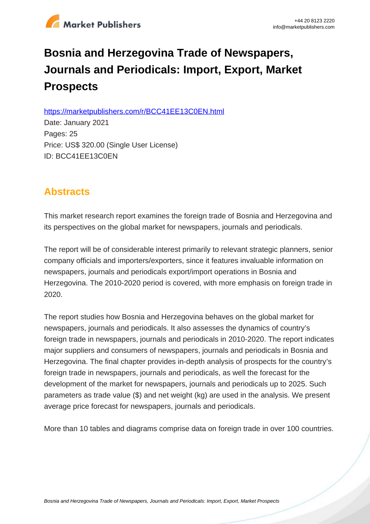

# **Bosnia and Herzegovina Trade of Newspapers, Journals and Periodicals: Import, Export, Market Prospects**

https://marketpublishers.com/r/BCC41EE13C0EN.html

Date: January 2021 Pages: 25 Price: US\$ 320.00 (Single User License) ID: BCC41EE13C0EN

## **Abstracts**

This market research report examines the foreign trade of Bosnia and Herzegovina and its perspectives on the global market for newspapers, journals and periodicals.

The report will be of considerable interest primarily to relevant strategic planners, senior company officials and importers/exporters, since it features invaluable information on newspapers, journals and periodicals export/import operations in Bosnia and Herzegovina. The 2010-2020 period is covered, with more emphasis on foreign trade in 2020.

The report studies how Bosnia and Herzegovina behaves on the global market for newspapers, journals and periodicals. It also assesses the dynamics of country's foreign trade in newspapers, journals and periodicals in 2010-2020. The report indicates major suppliers and consumers of newspapers, journals and periodicals in Bosnia and Herzegovina. The final chapter provides in-depth analysis of prospects for the country's foreign trade in newspapers, journals and periodicals, as well the forecast for the development of the market for newspapers, journals and periodicals up to 2025. Such parameters as trade value (\$) and net weight (kg) are used in the analysis. We present average price forecast for newspapers, journals and periodicals.

More than 10 tables and diagrams comprise data on foreign trade in over 100 countries.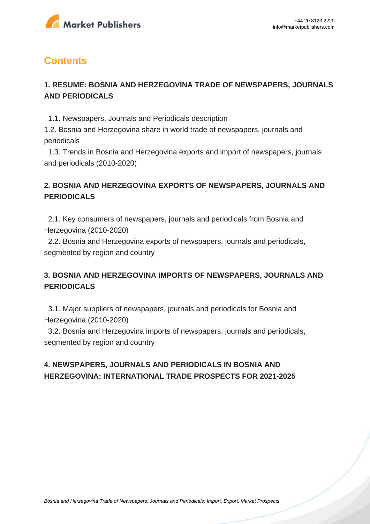

### **Contents**

#### **1. RESUME: BOSNIA AND HERZEGOVINA TRADE OF NEWSPAPERS, JOURNALS AND PERIODICALS**

1.1. Newspapers, Journals and Periodicals description

1.2. Bosnia and Herzegovina share in world trade of newspapers, journals and periodicals

 1.3. Trends in Bosnia and Herzegovina exports and import of newspapers, journals and periodicals (2010-2020)

#### **2. BOSNIA AND HERZEGOVINA EXPORTS OF NEWSPAPERS, JOURNALS AND PERIODICALS**

 2.1. Key consumers of newspapers, journals and periodicals from Bosnia and Herzegovina (2010-2020)

 2.2. Bosnia and Herzegovina exports of newspapers, journals and periodicals, segmented by region and country

#### **3. BOSNIA AND HERZEGOVINA IMPORTS OF NEWSPAPERS, JOURNALS AND PERIODICALS**

 3.1. Major suppliers of newspapers, journals and periodicals for Bosnia and Herzegovina (2010-2020)

 3.2. Bosnia and Herzegovina imports of newspapers, journals and periodicals, segmented by region and country

#### **4. NEWSPAPERS, JOURNALS AND PERIODICALS IN BOSNIA AND HERZEGOVINA: INTERNATIONAL TRADE PROSPECTS FOR 2021-2025**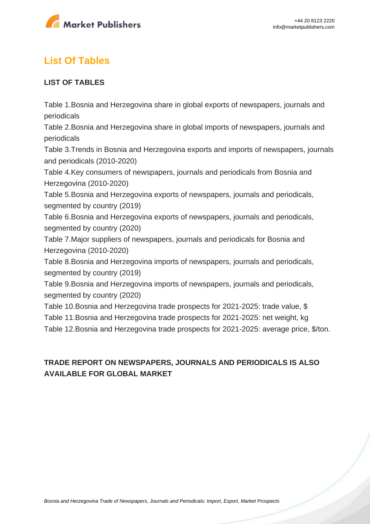

# **List Of Tables**

#### **LIST OF TABLES**

Table 1.Bosnia and Herzegovina share in global exports of newspapers, journals and periodicals

Table 2.Bosnia and Herzegovina share in global imports of newspapers, journals and periodicals

Table 3.Trends in Bosnia and Herzegovina exports and imports of newspapers, journals and periodicals (2010-2020)

Table 4.Key consumers of newspapers, journals and periodicals from Bosnia and Herzegovina (2010-2020)

Table 5.Bosnia and Herzegovina exports of newspapers, journals and periodicals, segmented by country (2019)

Table 6.Bosnia and Herzegovina exports of newspapers, journals and periodicals, segmented by country (2020)

Table 7.Major suppliers of newspapers, journals and periodicals for Bosnia and Herzegovina (2010-2020)

Table 8.Bosnia and Herzegovina imports of newspapers, journals and periodicals, segmented by country (2019)

Table 9.Bosnia and Herzegovina imports of newspapers, journals and periodicals, segmented by country (2020)

Table 10.Bosnia and Herzegovina trade prospects for 2021-2025: trade value, \$ Table 11.Bosnia and Herzegovina trade prospects for 2021-2025: net weight, kg Table 12.Bosnia and Herzegovina trade prospects for 2021-2025: average price, \$/ton.

#### **TRADE REPORT ON NEWSPAPERS, JOURNALS AND PERIODICALS IS ALSO AVAILABLE FOR GLOBAL MARKET**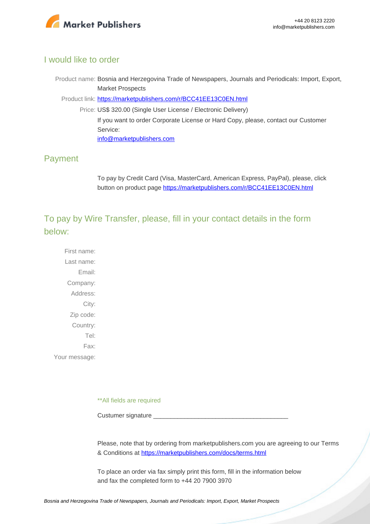

#### I would like to order

Product name: Bosnia and Herzegovina Trade of Newspapers, Journals and Periodicals: Import, Export, Market Prospects

Product link: [https://marketpublishers.com/r/BCC41EE13C0EN.html](https://marketpublishers.com/report/technologies_electronics/media/bosnia_herzegovina_trade_market_research_of_newspapers_journals_n_periodicals_bac.html)

Price: US\$ 320.00 (Single User License / Electronic Delivery) If you want to order Corporate License or Hard Copy, please, contact our Customer Service: [info@marketpublishers.com](mailto:info@marketpublishers.com)

#### Payment

To pay by Credit Card (Visa, MasterCard, American Express, PayPal), please, click button on product page [https://marketpublishers.com/r/BCC41EE13C0EN.html](https://marketpublishers.com/report/technologies_electronics/media/bosnia_herzegovina_trade_market_research_of_newspapers_journals_n_periodicals_bac.html)

To pay by Wire Transfer, please, fill in your contact details in the form below:

First name: Last name: Email: Company: Address: City: Zip code: Country: Tel: Fax: Your message:

\*\*All fields are required

Custumer signature

Please, note that by ordering from marketpublishers.com you are agreeing to our Terms & Conditions at<https://marketpublishers.com/docs/terms.html>

To place an order via fax simply print this form, fill in the information below and fax the completed form to +44 20 7900 3970